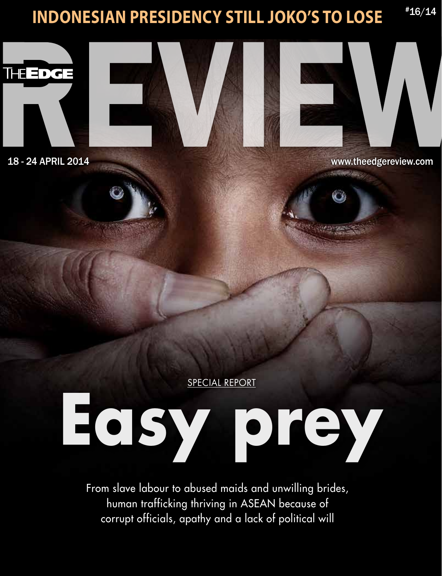### **Indonesian presidency still Joko's to lose** #16/14



E



18 - 24 ApRIL 2014 www.theedgereview.com

SPECIAL REPORT

### **Easy prey**

From slave labour to abused maids and unwilling brides, human trafficking thriving in ASEAN because of corrupt officials, apathy and a lack of political will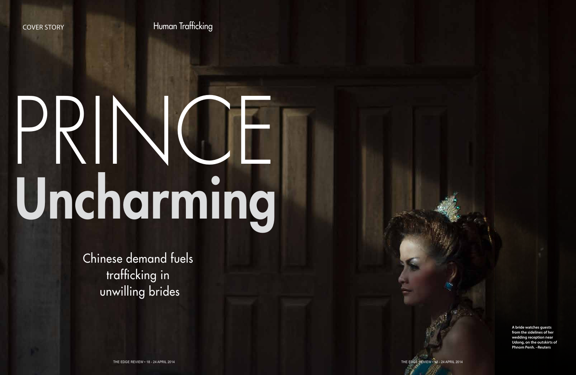COver story Human Trafficking

# PRINCE Uncharming

Chinese demand fuels trafficking in unwilling brides

> **A bride watches guests from the sidelines of her wedding reception near Udong, on the outskirts of Phnom Penh. –Reuters**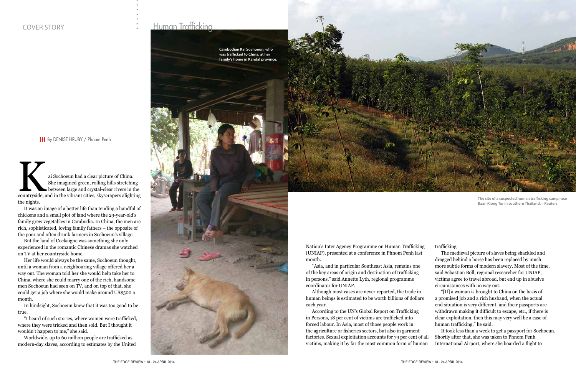ai Sochoeun had a clear picture of China.<br>
She imagined green, rolling hills stretching<br>
between large and crystal-clear rivers in the<br>
countryside, and in the vibrant cities, skyscrapers alighting She imagined green, rolling hills stretching between large and crystal-clear rivers in the the nights.

It was an image of a better life than tending a handful of chickens and a small plot of land where the 29-year-old's family grew vegetables in Cambodia. In China, the men are rich, sophisticated, loving family fathers – the opposite of the poor and often drunk farmers in Sochoeun's village.

But the land of Cockaigne was something she only experienced in the romantic Chinese dramas she watched on TV at her countryside home.

Her life would always be the same, Sochoeun thought, until a woman from a neighbouring village offered her a way out. The woman told her she would help take her to China, where she could marry one of the rich, handsome men Sochoeun had seen on TV, and on top of that, she could get a job where she would make around US\$500 a month.

In hindsight, Sochoeun knew that it was too good to be true.

"I heard of such stories, where women were trafficked, where they were tricked and then sold. But I thought it wouldn't happen to me," she said.

Worldwide, up to 60 million people are trafficked as modern-day slaves, according to estimates by the United





Nation's Inter Agency Programme on Human Trafficking (UNIAP), presented at a conference in Phnom Penh last month.

"Asia, and in particular Southeast Asia, remains one of the key areas of origin and destination of trafficking in persons," said Annette Lyth, regional programme coordinator for UNIAP.

Although most cases are never reported, the trade in human beings is estimated to be worth billions of dollars each year.

According to the UN's Global Report on Trafficking in Persons, 18 per cent of victims are trafficked into forced labour. In Asia, most of those people work in the agriculture or fisheries sectors, but also in garment factories. Sexual exploitation accounts for 79 per cent of all victims, making it by far the most common form of human

trafficking.

The medieval picture of slaves being shackled and dragged behind a horse has been replaced by much more subtle forms of modern slavery. Most of the time, said Sebastian Boll, regional researcher for UNIAP, victims agree to travel abroad, but end up in abusive circumstances with no way out.

"[If] a woman is brought to China on the basis of a promised job and a rich husband, when the actual end situation is very different, and their passports are withdrawn making it difficult to escape, etc., if there is clear exploitation, then this may very well be a case of human trafficking," he said.

It took less than a week to get a passport for Sochoeun. Shortly after that, she was taken to Phnom Penh International Airport, where she boarded a flight to

**The site of a suspected human trafficking camp near Baan Klong Tor in southern Thailand. – Reuters**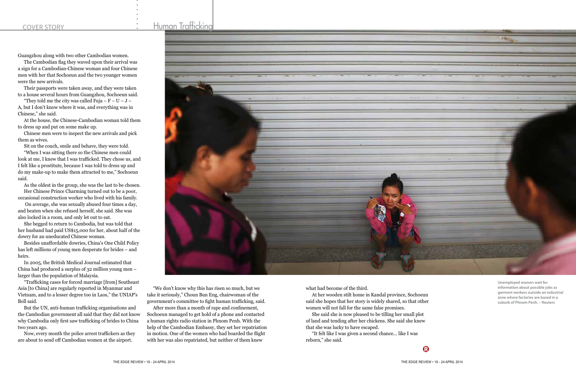Guangzhou along with two other Cambodian women.

The Cambodian flag they waved upon their arrival was a sign for a Cambodian-Chinese woman and four Chinese men with her that Sochoeun and the two younger women were the new arrivals.

"They told me the city was called Fuja –  $F - U - J -$ A, but I don't know where it was, and everything was in Chinese," she said.

Their passports were taken away, and they were taken to a house several hours from Guangzhou, Sochoeun said.

At the house, the Chinese-Cambodian woman told them to dress up and put on some make up.

Chinese men were to inspect the new arrivals and pick them as wives.

Sit on the couch, smile and behave, they were told.

"When I was sitting there so the Chinese men could look at me, I knew that I was trafficked. They chose us, and I felt like a prostitute, because I was told to dress up and do my make-up to make them attracted to me," Sochoeun said.

As the oldest in the group, she was the last to be chosen. Her Chinese Prince Charming turned out to be a poor, occasional construction worker who lived with his family.

 On average, she was sexually abused four times a day, and beaten when she refused herself, she said. She was also locked in a room, and only let out to eat.

She begged to return to Cambodia, but was told that her husband had paid US\$15,000 for her, about half of the dowry for an uneducated Chinese woman.

Besides unaffordable dowries, China's One Child Policy has left millions of young men desperate for brides – and heirs.

In 2005, the British Medical Journal estimated that China had produced a surplus of 32 million young men – larger than the population of Malaysia.

"Trafficking cases for forced marriage [from] Southeast Asia [to China] are regularly reported in Myanmar and Vietnam, and to a lesser degree too in Laos," the UNIAP's Boll said.

But the UN, anti-human trafficking organisations and the Cambodian government all said that they did not know why Cambodia only first saw trafficking of brides to China two years ago.

Now, every month the police arrest traffickers as they are about to send off Cambodian women at the airport.

"We don't know why this has risen so much, but we take it seriously," Choun Bun Eng, chairwoman of the government's committee to fight human trafficking, said.

After more than a month of rape and confinement, Sochoeun managed to get hold of a phone and contacted a human rights radio station in Phnom Penh. With the help of the Cambodian Embassy, they set her repatriation in motion. One of the women who had boarded the flight with her was also repatriated, but neither of them knew

what had become of the third.

At her wooden stilt home in Kandal province, Sochoeun said she hopes that her story is widely shared, so that other women will not fall for the same false promises.

She said she is now pleased to be tilling her small plot of land and tending after her chickens. She said she knew that she was lucky to have escaped.

"It felt like I was given a second chance... like I was reborn," she said.

**Unemployed women wait for information about possible jobs as garment workers outside an industrial zone where factories are based in a suburb of Phnom Penh. – Reuters**

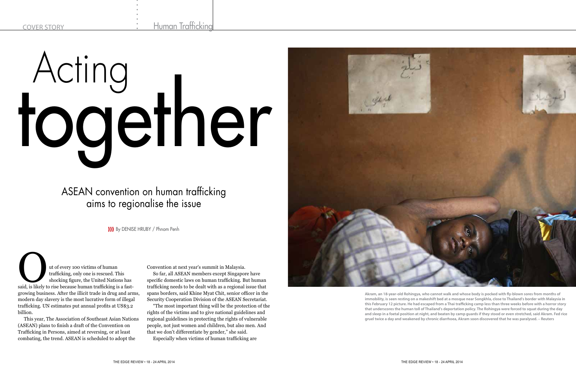ut of every 100 victims of human trafficking, only one is rescued. This shocking figure, the United Nations has said, is likely to rise because human trafficking is a fasttrafficking, only one is rescued. This shocking figure, the United Nations has growing business. After the illicit trade in drug and arms, modern day slavery is the most lucrative form of illegal trafficking. UN estimates put annual profits at US\$3.2 billion.

This year, The Association of Southeast Asian Nations (ASEAN) plans to finish a draft of the Convention on Trafficking in Persons, aimed at reversing, or at least combating, the trend. ASEAN is scheduled to adopt the

Convention at next year's summit in Malaysia.

So far, all ASEAN members except Singapore have specific domestic laws on human trafficking. But human trafficking needs to be dealt with as a regional issue that spans borders, said Khine Myat Chit, senior officer in the Security Cooperation Division of the ASEAN Secretariat.

"The most important thing will be the protection of the rights of the victims and to give national guidelines and regional guidelines in protecting the rights of vulnerable people, not just women and children, but also men. And that we don't differentiate by gender," she said.

Especially when victims of human trafficking are



ASEAN convention on human trafficking aims to regionalise the issue

## Acting together

**)))** By DENISE HRUBY / Phnom Penh

**Akram, an 18-year-old Rohingya, who cannot walk and whose body is pocked with fly-blown sores from months of immobility, is seen resting on a makeshift bed at a mosque near Songkhla, close to Thailand's border with Malaysia in this February 12 picture. He had escaped from a Thai trafficking camp less than three weeks before with a horror story that underscores the human toll of Thailand's deportation policy. The Rohingya were forced to squat during the day and sleep in a foetal position at night, and beaten by camp guards if they stood or even stretched, said Akram. Fed rice gruel twice a day and weakened by chronic diarrhoea, Akram soon discovered that he was paralysed. – Reuters**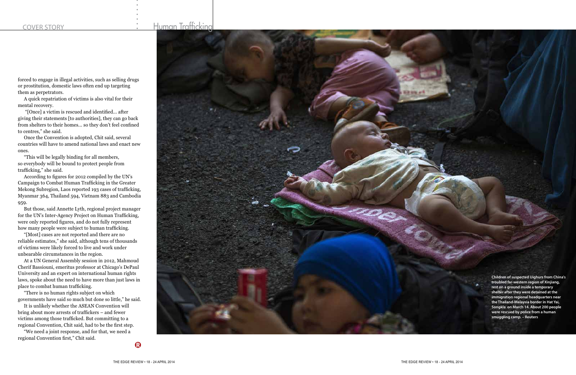forced to engage in illegal activities, such as selling drugs or prostitution, domestic laws often end up targeting them as perpetrators.

A quick repatriation of victims is also vital for their mental recovery.

 "[Once] a victim is rescued and identified... after giving their statements [to authorities], they can go back from shelters to their homes... so they don't feel confined to centres," she said.

Once the Convention is adopted, Chit said, several countries will have to amend national laws and enact new ones.

"This will be legally binding for all members, so everybody will be bound to protect people from trafficking," she said.

According to figures for 2012 compiled by the UN's Campaign to Combat Human Trafficking in the Greater Mekong Subregion, Laos reported 193 cases of trafficking, Myanmar 364, Thailand 594, Vietnam 883 and Cambodia 959.

But those, said Annette Lyth, regional project manager for the UN's Inter-Agency Project on Human Trafficking, were only reported figures, and do not fully represent how many people were subject to human trafficking.

"[Most] cases are not reported and there are no reliable estimates," she said, although tens of thousands of victims were likely forced to live and work under unbearable circumstances in the region.

At a UN General Assembly session in 2012, Mahmoud Cherif Bassiouni, emeritus professor at Chicago's DePaul University and an expert on international human rights laws, spoke about the need to have more than just laws in place to combat human trafficking.

"There is no human rights subject on which governments have said so much but done so little," he said.

It is unlikely whether the ASEAN Convention will bring about more arrests of traffickers – and fewer victims among those trafficked. But committing to a regional Convention, Chit said, had to be the first step.

"We need a joint response, and for that, we need a regional Convention first," Chit said.



**Children of suspected Uighurs from China's troubled far-western region of Xinjiang, rest on a ground inside a temporary shelter after they were detained at the immigration regional headquarters near the Thailand-Malaysia border in Hat Yai, Songkla on March 14. About 200 people were rescued by police from a human smuggling camp. – Reuters**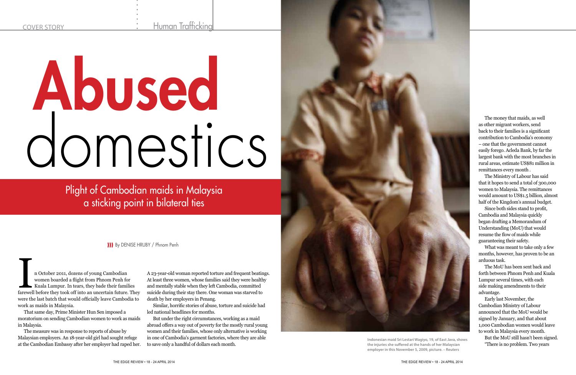Human Trafficking



n October 2011, dozens of young Cambodian<br>
women boarded a flight from Phnom Penh for<br>
Kuala Lumpur. In tears, they bade their families<br>
farewell before they took off into an uncertain future. They women boarded a flight from Phnom Penh for Kuala Lumpur. In tears, they bade their families were the last batch that would officially leave Cambodia to work as maids in Malaysia.

That same day, Prime Minister Hun Sen imposed a moratorium on sending Cambodian women to work as maids in Malaysia.

The measure was in response to reports of abuse by Malaysian employers. An 18-year-old girl had sought refuge at the Cambodian Embassy after her employer had raped her. A 23-year-old woman reported torture and frequent beatings. At least three women, whose families said they were healthy and mentally stable when they left Cambodia, committed suicide during their stay there. One woman was starved to death by her employers in Penang.

Similar, horrific stories of abuse, torture and suicide had led national headlines for months.

But under the right circumstances, working as a maid abroad offers a way out of poverty for the mostly rural young women and their families, whose only alternative is working in one of Cambodia's garment factories, where they are able to save only a handful of dollars each month.

**)))** B y DENISE HRUBY / Phnom Penh

Plight of Cambodian maids in Malaysia a sticking point in bilateral ties

The money that maids, as well as other migrant workers, send back to their families is a significant contribution to Cambodia's economy – one that the government cannot easily forego. Acleda Bank, by far the largest bank with the most branches in rural areas, estimate US\$81 million in remittances every month .

The Ministry of Labour has said that it hopes to send a total of 300,000 women to Malaysia. The remittances would amount to US\$1.5 billion, almost half of the Kingdom's annual budget.

## Abused domestics

Since both sides stand to profit, Cambodia and Malaysia quickly began drafting a Memorandum of Understanding (MoU) that would resume the flow of maids while guaranteeing their safety.

What was meant to take only a few months, however, has proven to be an arduous task.

The MoU has been sent back and forth between Phnom Penh and Kuala Lumpur several times, with each side making amendments to their advantage.

Early last November, the Cambodian Ministry of Labour announced that the MoU would be signed by January, and that about 1,000 Cambodian women would leave to work in Malaysia every month. But the MoU still hasn't been signed. "There is no problem. Two years



**Indonesian maid Sri Lestari Wagiyo, 19, of East Java, shows the injuries she suffered at the hands of her Malaysian employer in this November 5, 2009, picture. – Reuters**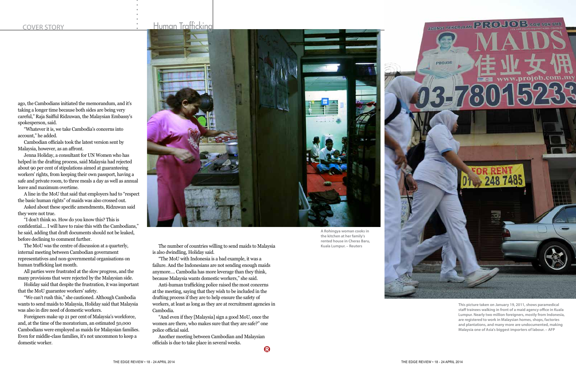

ago, the Cambodians initiated the memorandum, and it's taking a longer time because both sides are being very careful," Raja Saifful Ridzuwan, the Malaysian Embassy's spokesperson, said.

"Whatever it is, we take Cambodia's concerns into account," he added.

Cambodian officials took the latest version sent by Malaysia, however, as an affront.

Jenna Holiday, a consultant for UN Women who has helped in the drafting process, said Malaysia had rejected about 90 per cent of stipulations aimed at guaranteeing workers' rights, from keeping their own passport, having a safe and private room, to three meals a day as well as annual leave and maximum overtime.

A line in the MoU that said that employers had to "respect the basic human rights" of maids was also crossed out.

Asked about these specific amendments, Ridzuwan said they were not true.

"I don't think so. How do you know this? This is confidential.... I will have to raise this with the Cambodians," he said, adding that draft documents should not be leaked, before declining to comment further.

The MoU was the centre of discussion at a quarterly, internal meeting between Cambodian government representatives and non-governmental organisations on human trafficking last month.

> Another meeting between Cambodian and Malaysian officials is due to take place in several weeks.  $\boldsymbol{\Omega}$

All parties were frustrated at the slow progress, and the many provisions that were rejected by the Malaysian side.

Holiday said that despite the frustration, it was important that the MoU guarantee workers' safety.

"We can't rush this," she cautioned. Although Cambodia wants to send maids to Malaysia, Holiday said that Malaysia was also in dire need of domestic workers.

Foreigners make up 21 per cent of Malaysia's workforce, and, at the time of the moratorium, an estimated 50,000 Cambodians were employed as maids for Malaysian families. Even for middle-class families, it's not uncommon to keep a domestic worker.



The number of countries willing to send maids to Malaysia is also dwindling, Holiday said.

"The MoU with Indonesia is a bad example, it was a failure. And the Indonesians are not sending enough maids anymore.... Cambodia has more leverage than they think, because Malaysia wants domestic workers," she said.

Anti-human trafficking police raised the most concerns at the meeting, saying that they wish to be included in the drafting process if they are to help ensure the safety of workers, at least as long as they are at recruitment agencies in Cambodia.

"And even if they [Malaysia] sign a good MoU, once the women are there, who makes sure that they are safe?" one police official said.

**A Rohingya woman cooks in the kitchen at her family's rented house in Cheras Baru, Kuala Lumpur. – Reuters**

**This picture taken on January 19, 2011, shows paramedical staff trainees walking in front of a maid agency office in Kuala Lumpur. Nearly two million foreigners, mostly from Indonesia, are registered to work in Malaysian homes, shops, factories and plantations, and many more are undocumented, making Malaysia one of Asia's biggest importers of labour. – AFP**